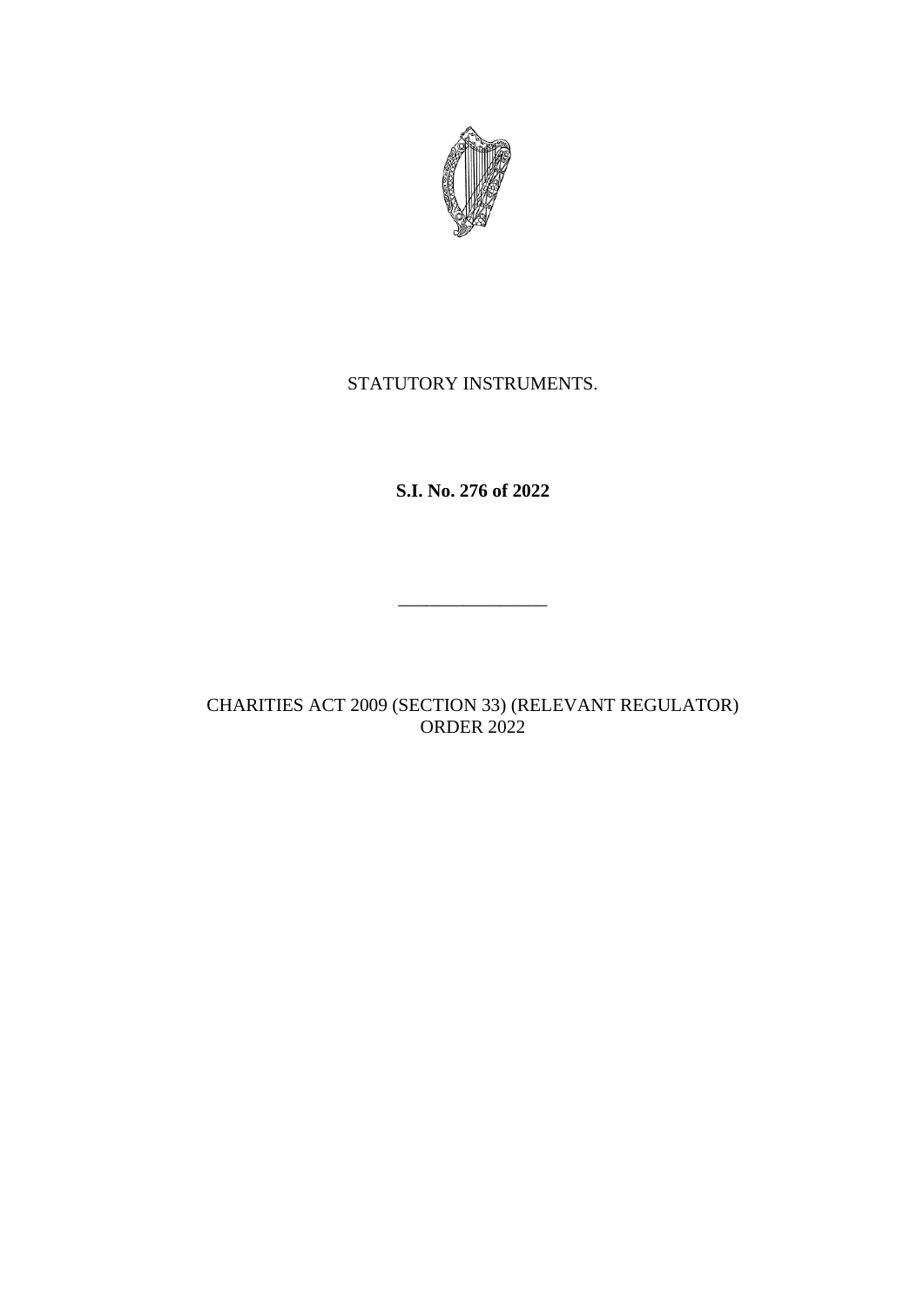

## STATUTORY INSTRUMENTS.

**S.I. No. 276 of 2022**

CHARITIES ACT 2009 (SECTION 33) (RELEVANT REGULATOR) ORDER 2022

\_\_\_\_\_\_\_\_\_\_\_\_\_\_\_\_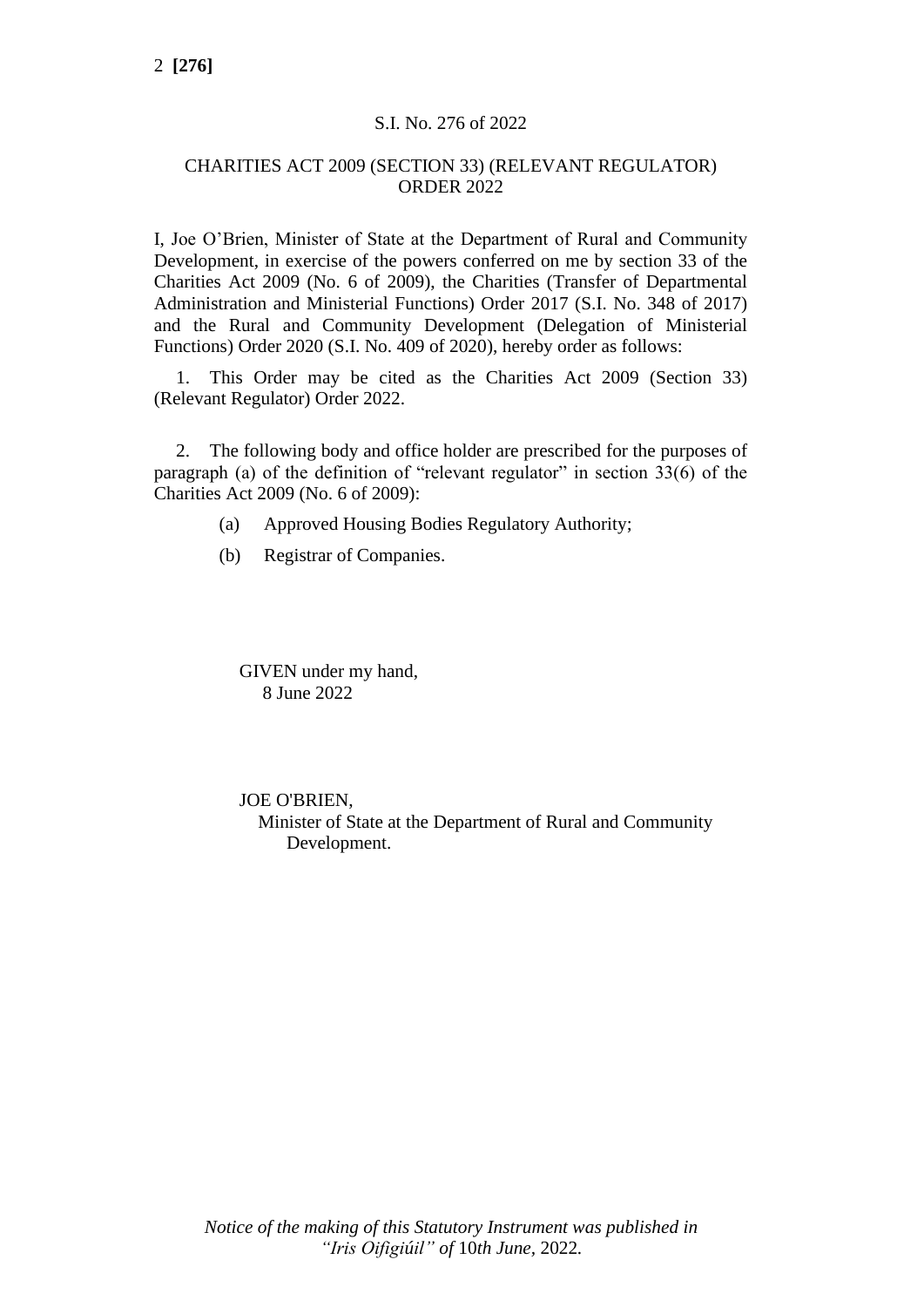## S.I. No. 276 of 2022

## CHARITIES ACT 2009 (SECTION 33) (RELEVANT REGULATOR) ORDER 2022

I, Joe O'Brien, Minister of State at the Department of Rural and Community Development, in exercise of the powers conferred on me by section 33 of the Charities Act 2009 (No. 6 of 2009), the Charities (Transfer of Departmental Administration and Ministerial Functions) Order 2017 (S.I. No. 348 of 2017) and the Rural and Community Development (Delegation of Ministerial Functions) Order 2020 (S.I. No. 409 of 2020), hereby order as follows:

1. This Order may be cited as the Charities Act 2009 (Section 33) (Relevant Regulator) Order 2022.

2. The following body and office holder are prescribed for the purposes of paragraph (a) of the definition of "relevant regulator" in section 33(6) of the Charities Act 2009 (No. 6 of 2009):

- (a) Approved Housing Bodies Regulatory Authority;
- (b) Registrar of Companies.

GIVEN under my hand, 8 June 2022

JOE O'BRIEN, Minister of State at the Department of Rural and Community Development.